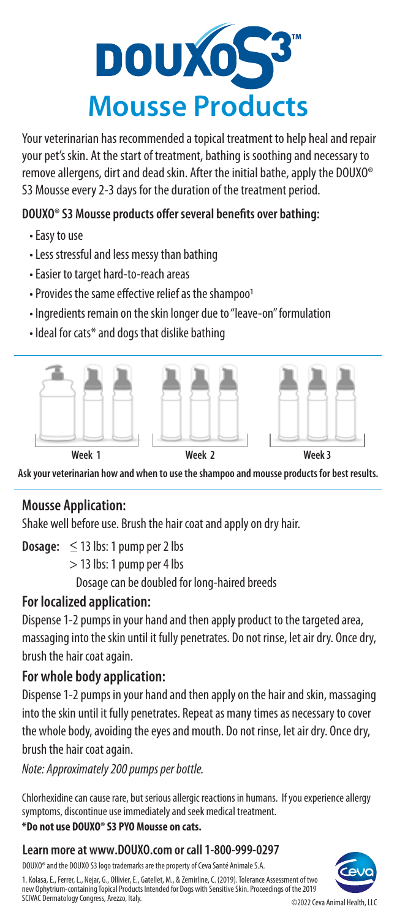

Your veterinarian has recommended a topical treatment to help heal and repair your pet's skin. At the start of treatment, bathing is soothing and necessary to remove allergens, dirt and dead skin. After the initial bathe, apply the DOUXO® S3 Mousse every 2-3 days for the duration of the treatment period.

### **DOUXO® S3 Mousse products offer several benefits over bathing:**

- Easy to use
- Less stressful and less messy than bathing
- Easier to target hard-to-reach areas
- Provides the same effective relief as the shampoo
- Ingredients remain on the skin longer due to "leave-on" formulation
- Ideal for cats\* and dogs that dislike bathing



**Ask your veterinarian how and when to use the shampoo and mousse products for best results.**

# **Mousse Application:**

Shake well before use. Brush the hair coat and apply on dry hair.

**Dosage:**  $\leq$  13 lbs: 1 pump per 2 lbs

> 13 lbs: 1 pump per 4 lbs

Dosage can be doubled for long-haired breeds

# **For localized application:**

Dispense 1-2 pumps in your hand and then apply product to the targeted area, massaging into the skin until it fully penetrates. Do not rinse, let air dry. Once dry, brush the hair coat again.

# **For whole body application:**

Dispense 1-2 pumps in your hand and then apply on the hair and skin, massaging into the skin until it fully penetrates. Repeat as many times as necessary to cover the whole body, avoiding the eyes and mouth. Do not rinse, let air dry. Once dry, brush the hair coat again.

*Note: Approximately 200 pumps per bottle.* 

Chlorhexidine can cause rare, but serious allergic reactions in humans. If you experience allergy symptoms, discontinue use immediately and seek medical treatment.

### **\*Do not use DOUXO® S3 PYO Mousse on cats.**

### **Learn more at www.DOUXO.com or call 1-800-999-0297**

DOUXO® and the DOUXO S3 logo trademarks are the property of Ceva Santé Animale S.A.

1. Kolasa, E., Ferrer, L., Nejar, G., Ollivier, E., Gatellet, M., & Zemirline, C. (2019). Tolerance Assessment of two new Ophytrium-containing Topical Products Intended for Dogs with Sensitive Skin. Proceedings of the 2019 SCIVAC Dermatology Congress, Arezzo, Italy.



©2022 Ceva Animal Health, LLC